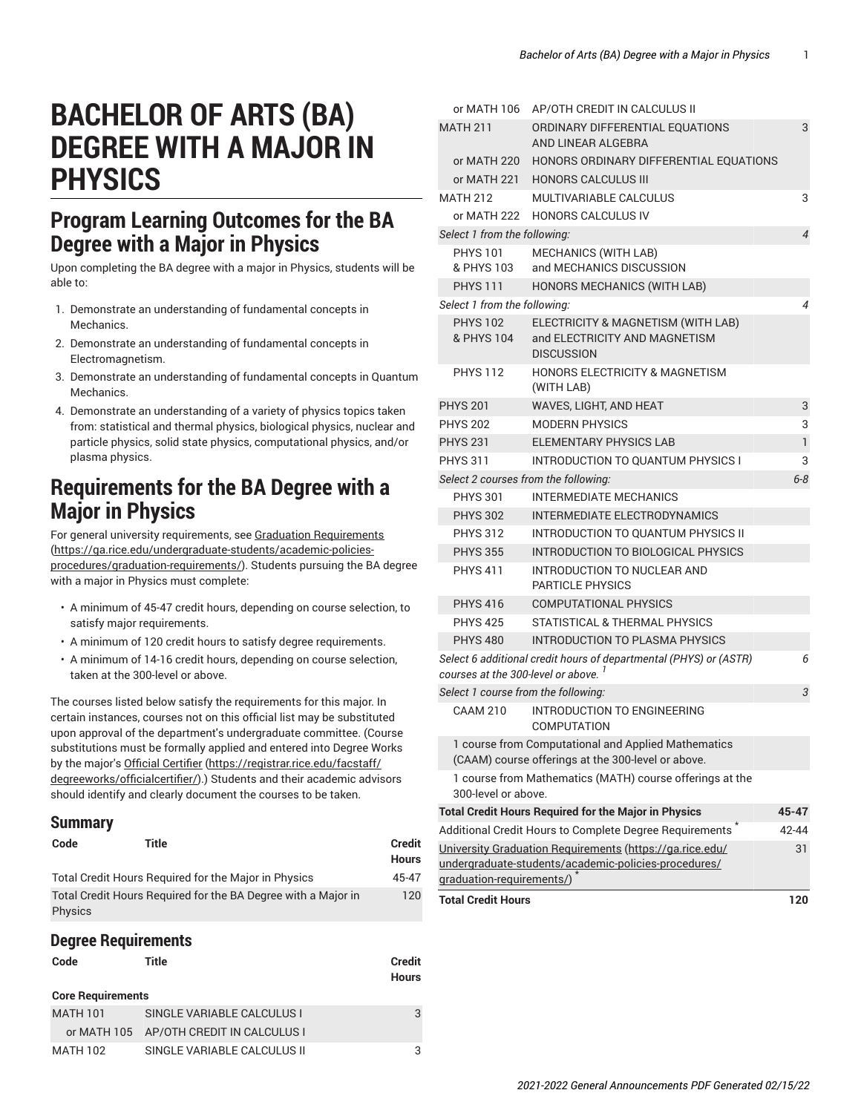$MATH 106$  AP/OTH CREDIT IN CALCULUS II

# **BACHELOR OF ARTS (BA) DEGREE WITH A MAJOR IN PHYSICS**

### **Program Learning Outcomes for the BA Degree with a Major in Physics**

Upon completing the BA degree with a major in Physics, students will be able to:

- 1. Demonstrate an understanding of fundamental concepts in Mechanics.
- 2. Demonstrate an understanding of fundamental concepts in Electromagnetism.
- 3. Demonstrate an understanding of fundamental concepts in Quantum **Mechanics**
- 4. Demonstrate an understanding of a variety of physics topics taken from: statistical and thermal physics, biological physics, nuclear and particle physics, solid state physics, computational physics, and/or plasma physics.

### **Requirements for the BA Degree with a Major in Physics**

For general university requirements, see Graduation [Requirements](https://ga.rice.edu/undergraduate-students/academic-policies-procedures/graduation-requirements/) ([https://ga.rice.edu/undergraduate-students/academic-policies](https://ga.rice.edu/undergraduate-students/academic-policies-procedures/graduation-requirements/)[procedures/graduation-requirements/\)](https://ga.rice.edu/undergraduate-students/academic-policies-procedures/graduation-requirements/). Students pursuing the BA degree with a major in Physics must complete:

- A minimum of 45-47 credit hours, depending on course selection, to satisfy major requirements.
- A minimum of 120 credit hours to satisfy degree requirements.
- A minimum of 14-16 credit hours, depending on course selection, taken at the 300-level or above.

The courses listed below satisfy the requirements for this major. In certain instances, courses not on this official list may be substituted upon approval of the department's undergraduate committee. (Course substitutions must be formally applied and entered into Degree Works by the major's Official [Certifier](https://registrar.rice.edu/facstaff/degreeworks/officialcertifier/) ([https://registrar.rice.edu/facstaff/](https://registrar.rice.edu/facstaff/degreeworks/officialcertifier/) [degreeworks/officialcertifier/\)](https://registrar.rice.edu/facstaff/degreeworks/officialcertifier/).) Students and their academic advisors should identify and clearly document the courses to be taken.

#### **Summary**

| Code           | Title                                                         | <b>Credit</b><br><b>Hours</b> |
|----------------|---------------------------------------------------------------|-------------------------------|
|                | Total Credit Hours Required for the Major in Physics          | 45-47                         |
| <b>Physics</b> | Total Credit Hours Required for the BA Degree with a Major in | 120                           |

#### **Degree Requirements**

| Code                     | Title                                   | <b>Credit</b><br><b>Hours</b> |  |  |
|--------------------------|-----------------------------------------|-------------------------------|--|--|
| <b>Core Requirements</b> |                                         |                               |  |  |
| <b>MATH 101</b>          | SINGLE VARIABLE CALCULUS I              | 3                             |  |  |
|                          | or MATH 105 AP/OTH CREDIT IN CALCULUS I |                               |  |  |
| MATH 102                 | SINGLE VARIABLE CALCULUS II             |                               |  |  |

|                                                                                                                      | 01 MAIH 100 AP/UIH CHEDII IN CALCOLOS II                                                                  |                |  |
|----------------------------------------------------------------------------------------------------------------------|-----------------------------------------------------------------------------------------------------------|----------------|--|
| <b>MATH 211</b>                                                                                                      | ORDINARY DIFFERENTIAL EQUATIONS<br>AND LINEAR ALGEBRA                                                     | 3              |  |
|                                                                                                                      | or MATH 220 HONORS ORDINARY DIFFERENTIAL EQUATIONS                                                        |                |  |
|                                                                                                                      | or MATH 221 HONORS CALCULUS III                                                                           |                |  |
| <b>MATH 212</b>                                                                                                      | MULTIVARIABLE CALCULUS                                                                                    | 3              |  |
| or MATH 222                                                                                                          | <b>HONORS CALCULUS IV</b>                                                                                 |                |  |
| Select 1 from the following:                                                                                         |                                                                                                           |                |  |
| <b>PHYS 101</b>                                                                                                      | <b>MECHANICS (WITH LAB)</b>                                                                               | $\overline{4}$ |  |
| & PHYS 103                                                                                                           | and MECHANICS DISCUSSION                                                                                  |                |  |
| <b>PHYS 111</b>                                                                                                      | HONORS MECHANICS (WITH LAB)                                                                               |                |  |
| Select 1 from the following:                                                                                         |                                                                                                           |                |  |
| <b>PHYS 102</b><br>& PHYS 104                                                                                        | ELECTRICITY & MAGNETISM (WITH LAB)<br>and ELECTRICITY AND MAGNETISM<br><b>DISCUSSION</b>                  |                |  |
| <b>PHYS 112</b>                                                                                                      | <b>HONORS ELECTRICITY &amp; MAGNETISM</b><br>(WITH LAB)                                                   |                |  |
| <b>PHYS 201</b>                                                                                                      | WAVES, LIGHT, AND HEAT                                                                                    | 3              |  |
| <b>PHYS 202</b>                                                                                                      | <b>MODERN PHYSICS</b>                                                                                     | 3              |  |
| <b>PHYS 231</b>                                                                                                      | <b>ELEMENTARY PHYSICS LAB</b>                                                                             | 1              |  |
| <b>PHYS 311</b>                                                                                                      | <b>INTRODUCTION TO QUANTUM PHYSICS I</b>                                                                  | 3              |  |
|                                                                                                                      | Select 2 courses from the following:                                                                      | $6 - 8$        |  |
| <b>PHYS 301</b>                                                                                                      | <b>INTERMEDIATE MECHANICS</b>                                                                             |                |  |
| <b>PHYS 302</b>                                                                                                      | <b>INTERMEDIATE ELECTRODYNAMICS</b>                                                                       |                |  |
| <b>PHYS 312</b>                                                                                                      | <b>INTRODUCTION TO QUANTUM PHYSICS II</b>                                                                 |                |  |
| <b>PHYS 355</b>                                                                                                      | INTRODUCTION TO BIOLOGICAL PHYSICS                                                                        |                |  |
| <b>PHYS 411</b>                                                                                                      | <b>INTRODUCTION TO NUCLEAR AND</b><br><b>PARTICLE PHYSICS</b>                                             |                |  |
| <b>PHYS 416</b>                                                                                                      | <b>COMPUTATIONAL PHYSICS</b>                                                                              |                |  |
| <b>PHYS 425</b>                                                                                                      | STATISTICAL & THERMAL PHYSICS                                                                             |                |  |
| <b>PHYS 480</b>                                                                                                      | <b>INTRODUCTION TO PLASMA PHYSICS</b>                                                                     |                |  |
| Select 6 additional credit hours of departmental (PHYS) or (ASTR)<br>courses at the 300-level or above. <sup>1</sup> |                                                                                                           |                |  |
| Select 1 course from the following:                                                                                  |                                                                                                           | 3              |  |
| <b>CAAM 210</b>                                                                                                      | <b>INTRODUCTION TO ENGINEERING</b><br><b>COMPUTATION</b>                                                  |                |  |
|                                                                                                                      | 1 course from Computational and Applied Mathematics<br>(CAAM) course offerings at the 300-level or above. |                |  |
| 300-level or above.                                                                                                  | 1 course from Mathematics (MATH) course offerings at the                                                  |                |  |
|                                                                                                                      | <b>Total Credit Hours Required for the Major in Physics</b>                                               | 45-47          |  |
| Additional Credit Hours to Complete Degree Requirements                                                              |                                                                                                           |                |  |
| University Graduation Requirements (https://ga.rice.edu/                                                             |                                                                                                           |                |  |
|                                                                                                                      | undergraduate-students/academic-policies-procedures/                                                      |                |  |
| graduation-requirements/)                                                                                            |                                                                                                           |                |  |
| <b>Total Credit Hours</b>                                                                                            |                                                                                                           | 120            |  |